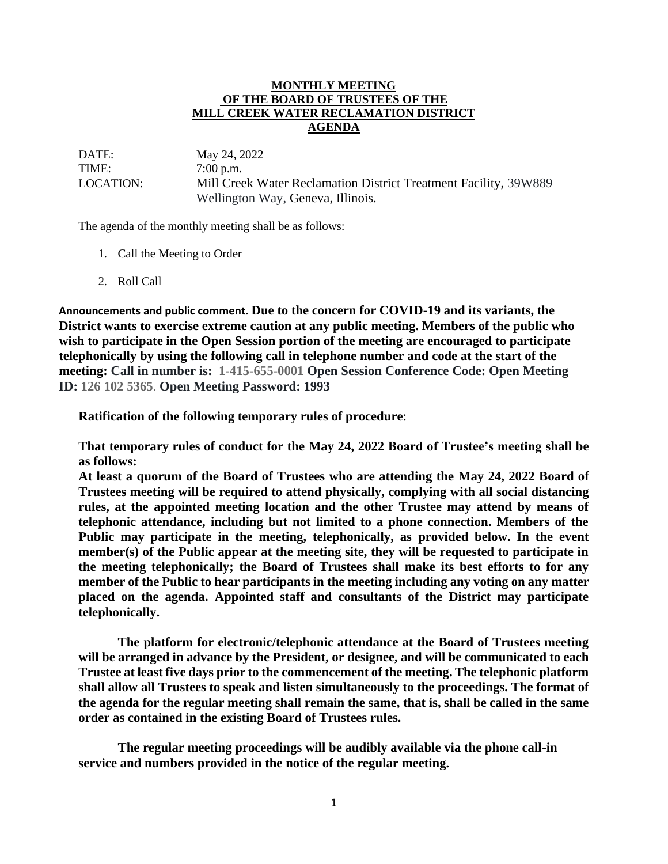## **MONTHLY MEETING OF THE BOARD OF TRUSTEES OF THE MILL CREEK WATER RECLAMATION DISTRICT AGENDA**

DATE: May 24, 2022 TIME: 7:00 p.m. LOCATION: Mill Creek Water Reclamation District Treatment Facility, 39W889 Wellington Way, Geneva, Illinois.

The agenda of the monthly meeting shall be as follows:

- 1. Call the Meeting to Order
- 2. Roll Call

**Announcements and public comment. Due to the concern for COVID-19 and its variants, the District wants to exercise extreme caution at any public meeting. Members of the public who wish to participate in the Open Session portion of the meeting are encouraged to participate telephonically by using the following call in telephone number and code at the start of the meeting: Call in number is: 1-415-655-0001 Open Session Conference Code: Open Meeting ID: 126 102 5365**. **Open Meeting Password: 1993**

**Ratification of the following temporary rules of procedure**:

**That temporary rules of conduct for the May 24, 2022 Board of Trustee's meeting shall be as follows:**

**At least a quorum of the Board of Trustees who are attending the May 24, 2022 Board of Trustees meeting will be required to attend physically, complying with all social distancing rules, at the appointed meeting location and the other Trustee may attend by means of telephonic attendance, including but not limited to a phone connection. Members of the Public may participate in the meeting, telephonically, as provided below. In the event member(s) of the Public appear at the meeting site, they will be requested to participate in the meeting telephonically; the Board of Trustees shall make its best efforts to for any member of the Public to hear participants in the meeting including any voting on any matter placed on the agenda. Appointed staff and consultants of the District may participate telephonically.**

**The platform for electronic/telephonic attendance at the Board of Trustees meeting will be arranged in advance by the President, or designee, and will be communicated to each Trustee at least five days prior to the commencement of the meeting. The telephonic platform shall allow all Trustees to speak and listen simultaneously to the proceedings. The format of the agenda for the regular meeting shall remain the same, that is, shall be called in the same order as contained in the existing Board of Trustees rules.**

**The regular meeting proceedings will be audibly available via the phone call-in service and numbers provided in the notice of the regular meeting.**